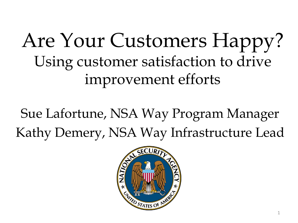# Are Your Customers Happy? Using customer satisfaction to drive improvement efforts

Sue Lafortune, NSA Way Program Manager Kathy Demery, NSA Way Infrastructure Lead

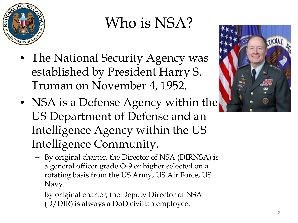

#### Who is NSA?

- The National Security Agency was established by President Harry S. Truman on November 4, 1952.
- NSA is a Defense Agency within the US Department of Defense and an Intelligence Agency within the US Intelligence Community.
	- By original charter, the Director of NSA (DIRNSA) is a general officer grade O-9 or higher selected on a rotating basis from the US Army, US Air Force, US Navy.
	- By original charter, the Deputy Director of NSA (D/DIR) is always a DoD civilian employee.

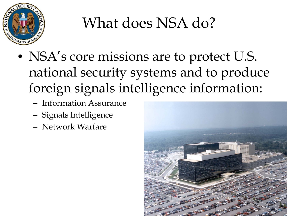

### What does NSA do?

- NSA's core missions are to protect U.S. national security systems and to produce foreign signals intelligence information:
	- Information Assurance
	- Signals Intelligence
	- Network Warfare

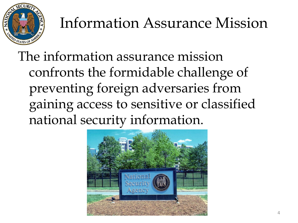

# Information Assurance Mission

The information assurance mission confronts the formidable challenge of preventing foreign adversaries from gaining access to sensitive or classified national security information.

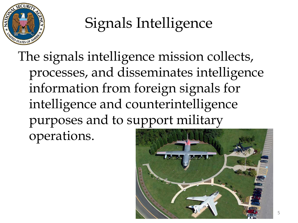

## Signals Intelligence

The signals intelligence mission collects, processes, and disseminates intelligence information from foreign signals for intelligence and counterintelligence purposes and to support military operations.



5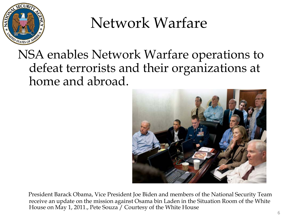

#### Network Warfare

#### NSA enables Network Warfare operations to defeat terrorists and their organizations at home and abroad.



 President Barack Obama, Vice President Joe Biden and members of the National Security Team receive an update on the mission against Osama bin Laden in the Situation Room of the White House on May 1, 2011., Pete Souza / Courtesy of the White House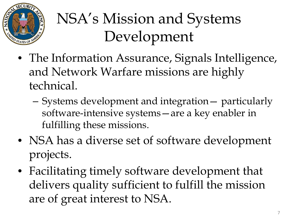

# NSA's Mission and Systems Development

- The Information Assurance, Signals Intelligence, and Network Warfare missions are highly technical.
	- Systems development and integration— particularly software-intensive systems—are a key enabler in fulfilling these missions.
- NSA has a diverse set of software development projects.
- Facilitating timely software development that delivers quality sufficient to fulfill the mission are of great interest to NSA.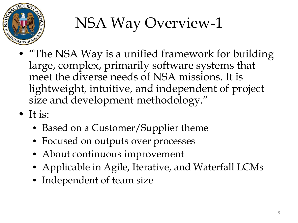

# NSA Way Overview-1

- "The NSA Way is a unified framework for building large, complex, primarily software systems that meet the diverse needs of NSA missions. It is lightweight, intuitive, and independent of project size and development methodology."
- It is:
	- Based on a Customer/Supplier theme
	- Focused on outputs over processes
	- About continuous improvement
	- Applicable in Agile, Iterative, and Waterfall LCMs
	- Independent of team size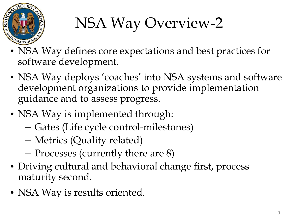

# NSA Way Overview-2

- NSA Way defines core expectations and best practices for software development.
- NSA Way deploys 'coaches' into NSA systems and software development organizations to provide implementation guidance and to assess progress.
- NSA Way is implemented through:
	- Gates (Life cycle control-milestones)
	- Metrics (Quality related)
	- Processes (currently there are 8)
- Driving cultural and behavioral change first, process maturity second.
- NSA Way is results oriented.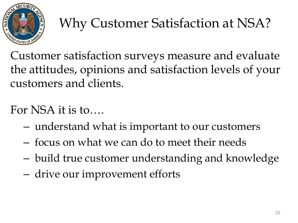

# Why Customer Satisfaction at NSA?

Customer satisfaction surveys measure and evaluate the attitudes, opinions and satisfaction levels of your customers and clients.

For NSA it is to….

- understand what is important to our customers
- focus on what we can do to meet their needs
- build true customer understanding and knowledge
- drive our improvement efforts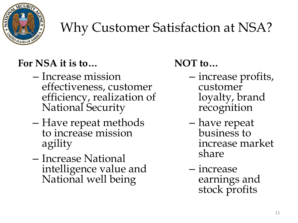

#### Why Customer Satisfaction at NSA?

#### **For NSA it is to…**

- Increase mission effectiveness, customer efficiency, realization of National Security
- Have repeat methods to increase mission agility
- Increase National intelligence value and National well being

#### **NOT to…**

- increase profits, customer loyalty, brand recognition
- have repeat business to increase market share
- increase earnings and stock profits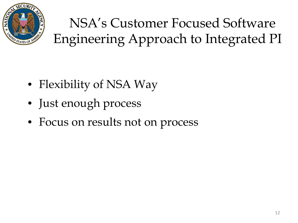

 NSA's Customer Focused Software Engineering Approach to Integrated PI

- Flexibility of NSA Way
- Just enough process
- Focus on results not on process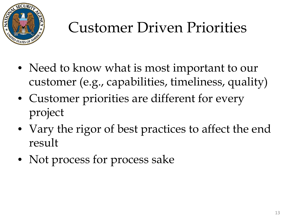

### Customer Driven Priorities

- Need to know what is most important to our customer (e.g., capabilities, timeliness, quality)
- Customer priorities are different for every project
- Vary the rigor of best practices to affect the end result
- Not process for process sake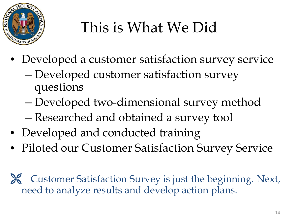

# This is What We Did

- Developed a customer satisfaction survey service
	- Developed customer satisfaction survey questions
	- Developed two-dimensional survey method
	- Researched and obtained a survey tool
- Developed and conducted training
- Piloted our Customer Satisfaction Survey Service

 Customer Satisfaction Survey is just the beginning. Next, need to analyze results and develop action plans.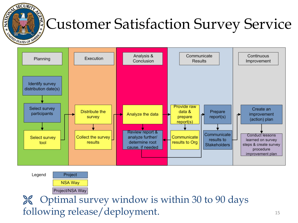

### Customer Satisfaction Survey Service



Legend Project **NSA Way** Project/NSA Way

State Optimal survey window is within 30 to 90 days following release/deployment.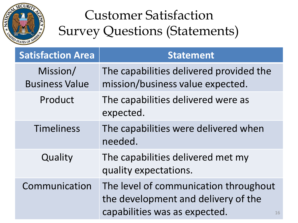

#### Customer Satisfaction Survey Questions (Statements)

| <b>Satisfaction Area</b>          | <b>Statement</b>                                                                                                    |
|-----------------------------------|---------------------------------------------------------------------------------------------------------------------|
| Mission/<br><b>Business Value</b> | The capabilities delivered provided the<br>mission/business value expected.                                         |
| Product                           | The capabilities delivered were as<br>expected.                                                                     |
| <b>Timeliness</b>                 | The capabilities were delivered when<br>needed.                                                                     |
| Quality                           | The capabilities delivered met my<br>quality expectations.                                                          |
| Communication                     | The level of communication throughout<br>the development and delivery of the<br>capabilities was as expected.<br>16 |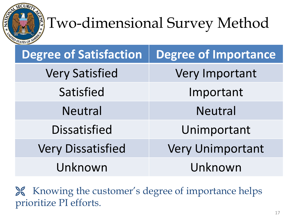

# Two-dimensional Survey Method

| <b>Degree of Satisfaction</b> | <b>Degree of Importance</b> |
|-------------------------------|-----------------------------|
| <b>Very Satisfied</b>         | <b>Very Important</b>       |
| Satisfied                     | Important                   |
| <b>Neutral</b>                | <b>Neutral</b>              |
| <b>Dissatisfied</b>           | Unimportant                 |
| <b>Very Dissatisfied</b>      | <b>Very Unimportant</b>     |
| Unknown                       | Unknown                     |

 Knowing the customer's degree of importance helps prioritize PI efforts.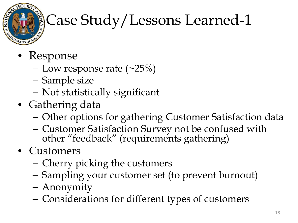

# Case Study/Lessons Learned-1

- Response
	- $-$  Low response rate ( $\sim$ 25%)
	- Sample size
	- Not statistically significant
- Gathering data
	- Other options for gathering Customer Satisfaction data
	- Customer Satisfaction Survey not be confused with other "feedback" (requirements gathering)
- Customers
	- Cherry picking the customers
	- Sampling your customer set (to prevent burnout)
	- Anonymity
	- Considerations for different types of customers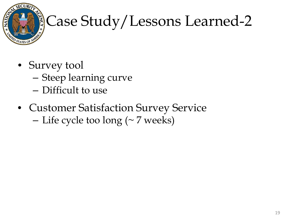

# Case Study/Lessons Learned-2

- Survey tool
	- Steep learning curve
	- Difficult to use
- Customer Satisfaction Survey Service – Life cycle too long  $($   $\sim$  7 weeks)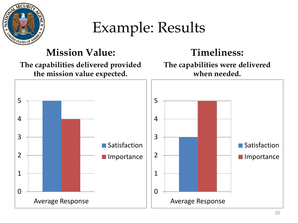

### Example: Results

#### **Mission Value:**

**The capabilities delivered provided the mission value expected.**

#### **Timeliness:**

**The capabilities were delivered when needed.**

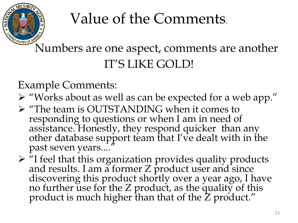

### Value of the Comments.

#### $\frac{S_{STATES}S}{S_{TATES}S}$  Numbers are one aspect, comments are another IT'S LIKE GOLD!

#### Example Comments:

- "Works about as well as can be expected for a web app."
- **► "The team is OUTSTANDING when it comes to** responding to questions or when I am in need of assistance. Honestly, they respond quicker than any other database support team that I've dealt with in the past seven years...."
- "I feel that this organization provides quality products and results. I am a former  $Z$  product user and since discovering this product shortly over a year ago, I have no further use for the  $Z$  product, as the quality of this product is much higher than that of the Z product."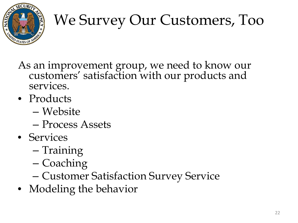

# We Survey Our Customers, Too

As an improvement group, we need to know our customers' satisfaction with our products and services.

- Products
	- Website
	- Process Assets
- Services
	- Training
	- Coaching
	- Customer Satisfaction Survey Service
- Modeling the behavior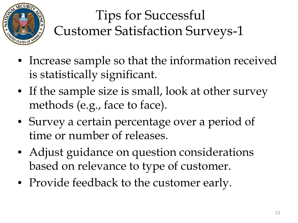

#### Tips for Successful Customer Satisfaction Surveys-1

- Increase sample so that the information received is statistically significant.
- If the sample size is small, look at other survey methods (e.g., face to face).
- Survey a certain percentage over a period of time or number of releases.
- Adjust guidance on question considerations based on relevance to type of customer.
- Provide feedback to the customer early.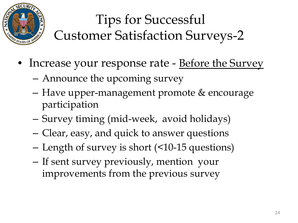

#### Tips for Successful Customer Satisfaction Surveys-2

- Increase your response rate Before the Survey
	- Announce the upcoming survey
	- Have upper-management promote & encourage participation
	- Survey timing (mid-week, avoid holidays)
	- Clear, easy, and quick to answer questions
	- Length of survey is short (<10-15 questions)
	- If sent survey previously, mention your improvements from the previous survey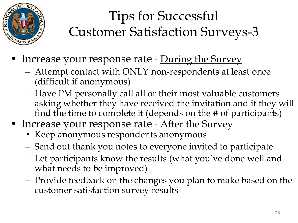

#### Tips for Successful Customer Satisfaction Surveys-3

- Increase your response rate During the Survey
	- Attempt contact with ONLY non-respondents at least once (difficult if anonymous)
	- Have PM personally call all or their most valuable customers asking whether they have received the invitation and if they will find the time to complete it (depends on the # of participants)
- Increase your response rate After the Survey
	- Keep anonymous respondents anonymous
	- Send out thank you notes to everyone invited to participate
	- Let participants know the results (what you've done well and what needs to be improved)
	- Provide feedback on the changes you plan to make based on the customer satisfaction survey results